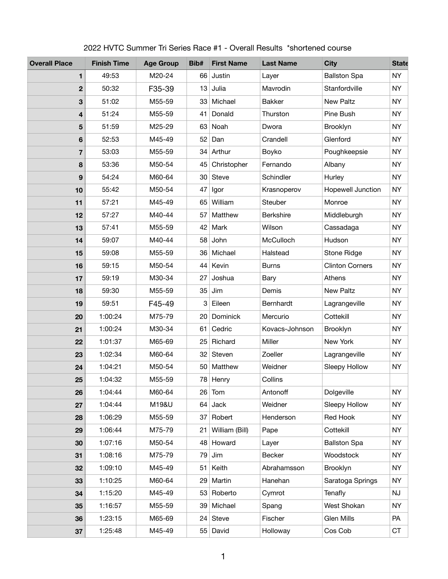| <b>Overall Place</b> | <b>Finish Time</b> | <b>Age Group</b> | Bib#            | <b>First Name</b> | <b>Last Name</b> | <b>City</b>              | <b>State</b> |
|----------------------|--------------------|------------------|-----------------|-------------------|------------------|--------------------------|--------------|
| 1                    | 49:53              | M20-24           | 66              | Justin            | Layer            | <b>Ballston Spa</b>      | <b>NY</b>    |
| $\mathbf 2$          | 50:32              | F35-39           | 13              | Julia             | Mavrodin         | Stanfordville            | <b>NY</b>    |
| 3                    | 51:02              | M55-59           | 33              | Michael           | <b>Bakker</b>    | <b>New Paltz</b>         | <b>NY</b>    |
| 4                    | 51:24              | M55-59           | 41              | Donald            | Thurston         | <b>Pine Bush</b>         | <b>NY</b>    |
| 5                    | 51:59              | M25-29           | 63              | Noah              | Dwora            | <b>Brooklyn</b>          | <b>NY</b>    |
| 6                    | 52:53              | M45-49           | 52 <sub>2</sub> | Dan               | Crandell         | Glenford                 | <b>NY</b>    |
| $\overline{7}$       | 53:03              | M55-59           | 34              | Arthur            | <b>Boyko</b>     | Poughkeepsie             | <b>NY</b>    |
| 8                    | 53:36              | M50-54           | 45              | Christopher       | Fernando         | Albany                   | <b>NY</b>    |
| 9                    | 54:24              | M60-64           | 30              | <b>Steve</b>      | Schindler        | Hurley                   | <b>NY</b>    |
| 10                   | 55:42              | M50-54           | 47              | Igor              | Krasnoperov      | <b>Hopewell Junction</b> | <b>NY</b>    |
| 11                   | 57:21              | M45-49           | 65              | William           | <b>Steuber</b>   | Monroe                   | <b>NY</b>    |
| 12                   | 57:27              | M40-44           | 57              | <b>Matthew</b>    | <b>Berkshire</b> | Middleburgh              | <b>NY</b>    |
| 13                   | 57:41              | M55-59           | 42              | <b>Mark</b>       | Wilson           | Cassadaga                | <b>NY</b>    |
| 14                   | 59:07              | M40-44           | 58              | John              | <b>McCulloch</b> | Hudson                   | <b>NY</b>    |
| 15                   | 59:08              | M55-59           | 36 <sup>°</sup> | Michael           | Halstead         | <b>Stone Ridge</b>       | <b>NY</b>    |
| 16                   | 59:15              | M50-54           | 44              | Kevin             | <b>Burns</b>     | <b>Clinton Corners</b>   | <b>NY</b>    |
| 17                   | 59:19              | M30-34           | 27              | Joshua            | Bary             | <b>Athens</b>            | <b>NY</b>    |
| 18                   | 59:30              | M55-59           |                 | $35$ Jim          | Demis            | <b>New Paltz</b>         | <b>NY</b>    |
| 19                   | 59:51              | F45-49           |                 | 3 Eileen          | Bernhardt        | Lagrangeville            | <b>NY</b>    |
| 20                   | 1:00:24            | M75-79           | 20 <sub>1</sub> | <b>Dominick</b>   | Mercurio         | Cottekill                | <b>NY</b>    |
| 21                   | 1:00:24            | M30-34           | 61              | Cedric            | Kovacs-Johnson   | <b>Brooklyn</b>          | <b>NY</b>    |
| 22                   | 1:01:37            | M65-69           |                 | 25 Richard        | <b>Miller</b>    | New York                 | <b>NY</b>    |
| 23                   | 1:02:34            | M60-64           |                 | 32 Steven         | Zoeller          | Lagrangeville            | <b>NY</b>    |
| 24                   | 1:04:21            | M50-54           |                 | 50 Matthew        | Weidner          | <b>Sleepy Hollow</b>     | <b>NY</b>    |
| 25                   | 1:04:32            | M55-59           |                 | 78 Henry          | Collins          |                          |              |
| 26                   | 1:04:44            | M60-64           |                 | $26$ Tom          | Antonoff         | Dolgeville               | <b>NY</b>    |
| 27                   | 1:04:44            | M19&U            |                 | $64$ Jack         | Weidner          | <b>Sleepy Hollow</b>     | <b>NY</b>    |
| 28                   | 1:06:29            | M55-59           |                 | 37 Robert         | Henderson        | <b>Red Hook</b>          | <b>NY</b>    |
| 29                   | 1:06:44            | M75-79           | 21              | William (Bill)    | Pape             | Cottekill                | <b>NY</b>    |
| 30                   | 1:07:16            | M50-54           |                 | 48 Howard         | Layer            | <b>Ballston Spa</b>      | <b>NY</b>    |
| 31                   | 1:08:16            | M75-79           | 79              | Jim               | <b>Becker</b>    | Woodstock                | <b>NY</b>    |
| 32                   | 1:09:10            | M45-49           |                 | 51 Keith          | Abrahamsson      | <b>Brooklyn</b>          | <b>NY</b>    |
| 33                   | 1:10:25            | M60-64           | 29              | Martin            | Hanehan          | Saratoga Springs         | <b>NY</b>    |
| 34                   | 1:15:20            | M45-49           |                 | 53 Roberto        | Cymrot           | <b>Tenafly</b>           | NJ           |
| 35                   | 1:16:57            | M55-59           |                 | 39 Michael        | Spang            | <b>West Shokan</b>       | <b>NY</b>    |
| 36                   | 1:23:15            | M65-69           |                 | 24 Steve          | Fischer          | <b>Glen Mills</b>        | <b>PA</b>    |
| 37                   | 1:25:48            | M45-49           |                 | 55 David          | Holloway         | Cos Cob                  | <b>CT</b>    |

## 2022 HVTC Summer Tri Series Race #1 - Overall Results \*shortened course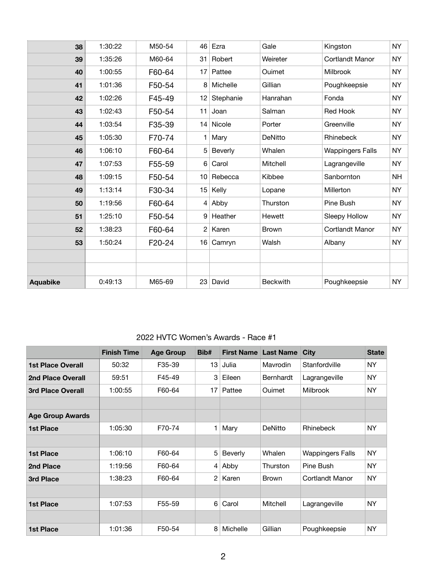| 38              | 1:30:22 | M50-54 | 46 Ezra                  | Gale            | Kingston                | <b>NY</b> |
|-----------------|---------|--------|--------------------------|-----------------|-------------------------|-----------|
| 39              | 1:35:26 | M60-64 | Robert<br>31             | Weireter        | <b>Cortlandt Manor</b>  | <b>NY</b> |
| 40              | 1:00:55 | F60-64 | Pattee<br>17             | Ouimet          | <b>Milbrook</b>         | <b>NY</b> |
| 41              | 1:01:36 | F50-54 | 8 Michelle               | Gillian         | Poughkeepsie            | <b>NY</b> |
| 42              | 1:02:26 | F45-49 | Stephanie<br>12          | Hanrahan        | Fonda                   | <b>NY</b> |
| 43              | 1:02:43 | F50-54 | 11<br>Joan               | Salman          | <b>Red Hook</b>         | <b>NY</b> |
| 44              | 1:03:54 | F35-39 | 14 Nicole                | Porter          | Greenville              | <b>NY</b> |
| 45              | 1:05:30 | F70-74 | Mary                     | <b>DeNitto</b>  | Rhinebeck               | <b>NY</b> |
| 46              | 1:06:10 | F60-64 | 5 Beverly                | Whalen          | <b>Wappingers Falls</b> | <b>NY</b> |
| 47              | 1:07:53 | F55-59 | Carol<br>$6 \mid$        | <b>Mitchell</b> | Lagrangeville           | <b>NY</b> |
| 48              | 1:09:15 | F50-54 | 10 Rebecca               | Kibbee          | Sanbornton              | <b>NH</b> |
| 49              | 1:13:14 | F30-34 | 15<br>Kelly              | Lopane          | Millerton               | <b>NY</b> |
| 50              | 1:19:56 | F60-64 | $4$ Abby                 | Thurston        | <b>Pine Bush</b>        | <b>NY</b> |
| 51              | 1:25:10 | F50-54 | Heather<br>9             | Hewett          | <b>Sleepy Hollow</b>    | <b>NY</b> |
| 52              | 1:38:23 | F60-64 | $2^{\circ}$<br>Karen     | <b>Brown</b>    | <b>Cortlandt Manor</b>  | <b>NY</b> |
| 53              | 1:50:24 | F20-24 | Camryn<br>16             | Walsh           | Albany                  | <b>NY</b> |
|                 |         |        |                          |                 |                         |           |
|                 |         |        |                          |                 |                         |           |
| <b>Aquabike</b> | 0:49:13 | M65-69 | 23 <sup>1</sup><br>David | <b>Beckwith</b> | Poughkeepsie            | <b>NY</b> |

## 2022 HVTC Women's Awards - Race #1

|                          | <b>Finish Time</b> | <b>Age Group</b> | Bib#           | <b>First Name</b> | <b>Last Name</b> | <b>City</b>             | <b>State</b> |
|--------------------------|--------------------|------------------|----------------|-------------------|------------------|-------------------------|--------------|
| <b>1st Place Overall</b> | 50:32              | F35-39           | 13             | Julia             | <b>Mavrodin</b>  | Stanfordville           | <b>NY</b>    |
| <b>2nd Place Overall</b> | 59:51              | F45-49           | 3              | Eileen            | <b>Bernhardt</b> | Lagrangeville           | <b>NY</b>    |
| <b>3rd Place Overall</b> | 1:00:55            | F60-64           | 17             | Pattee            | <b>Ouimet</b>    | <b>Milbrook</b>         | <b>NY</b>    |
|                          |                    |                  |                |                   |                  |                         |              |
| <b>Age Group Awards</b>  |                    |                  |                |                   |                  |                         |              |
| <b>1st Place</b>         | 1:05:30            | F70-74           | 1              | Mary              | <b>DeNitto</b>   | Rhinebeck               | <b>NY</b>    |
|                          |                    |                  |                |                   |                  |                         |              |
| <b>1st Place</b>         | 1:06:10            | F60-64           | 5              | <b>Beverly</b>    | Whalen           | <b>Wappingers Falls</b> | <b>NY</b>    |
| 2nd Place                | 1:19:56            | F60-64           | 4              | Abby              | Thurston         | Pine Bush               | <b>NY</b>    |
| <b>3rd Place</b>         | 1:38:23            | F60-64           | $\overline{2}$ | Karen             | <b>Brown</b>     | <b>Cortlandt Manor</b>  | <b>NY</b>    |
|                          |                    |                  |                |                   |                  |                         |              |
| <b>1st Place</b>         | 1:07:53            | F55-59           | 6              | Carol             | <b>Mitchell</b>  | Lagrangeville           | <b>NY</b>    |
|                          |                    |                  |                |                   |                  |                         |              |
| <b>1st Place</b>         | 1:01:36            | F50-54           | 8              | <b>Michelle</b>   | Gillian          | Poughkeepsie            | <b>NY</b>    |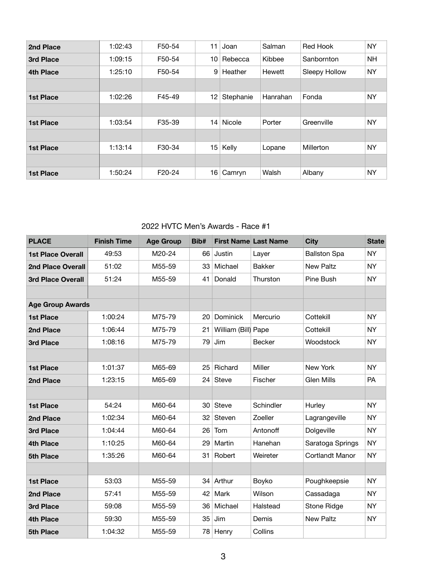| 2nd Place        | 1:02:43 | F50-54 | 11              | Joan          | Salman        | <b>Red Hook</b>      | <b>NY</b> |
|------------------|---------|--------|-----------------|---------------|---------------|----------------------|-----------|
| <b>3rd Place</b> | 1:09:15 | F50-54 | 10 <sup>°</sup> | Rebecca       | Kibbee        | Sanbornton           | <b>NH</b> |
| <b>4th Place</b> | 1:25:10 | F50-54 | 9               | Heather       | <b>Hewett</b> | <b>Sleepy Hollow</b> | <b>NY</b> |
|                  |         |        |                 |               |               |                      |           |
| <b>1st Place</b> | 1:02:26 | F45-49 | 12              | Stephanie     | Hanrahan      | Fonda                | <b>NY</b> |
|                  |         |        |                 |               |               |                      |           |
| <b>1st Place</b> | 1:03:54 | F35-39 | 14              | <b>Nicole</b> | Porter        | Greenville           | <b>NY</b> |
|                  |         |        |                 |               |               |                      |           |
| <b>1st Place</b> | 1:13:14 | F30-34 | 15              | Kelly         | Lopane        | Millerton            | <b>NY</b> |
|                  |         |        |                 |               |               |                      |           |
| <b>1st Place</b> | 1:50:24 | F20-24 | 16              | Camryn        | Walsh         | Albany               | <b>NY</b> |
|                  |         |        |                 |               |               |                      |           |

## 2022 HVTC Men's Awards - Race #1

| <b>PLACE</b>             | <b>Finish Time</b> | <b>Age Group</b> | Bib# | <b>First Name Last Name</b> |               | <b>City</b>            | <b>State</b> |
|--------------------------|--------------------|------------------|------|-----------------------------|---------------|------------------------|--------------|
| <b>1st Place Overall</b> | 49:53              | M20-24           |      | 66 Justin                   | Layer         | <b>Ballston Spa</b>    | <b>NY</b>    |
| <b>2nd Place Overall</b> | 51:02              | M55-59           | 33   | Michael                     | <b>Bakker</b> | <b>New Paltz</b>       | <b>NY</b>    |
| <b>3rd Place Overall</b> | 51:24              | M55-59           | 41   | Donald                      | Thurston      | Pine Bush              | <b>NY</b>    |
|                          |                    |                  |      |                             |               |                        |              |
| <b>Age Group Awards</b>  |                    |                  |      |                             |               |                        |              |
| <b>1st Place</b>         | 1:00:24            | M75-79           | 20   | <b>Dominick</b>             | Mercurio      | Cottekill              | <b>NY</b>    |
| 2nd Place                | 1:06:44            | M75-79           | 21   | William (Bill) Pape         |               | Cottekill              | <b>NY</b>    |
| <b>3rd Place</b>         | 1:08:16            | M75-79           | 79   | Jim                         | <b>Becker</b> | Woodstock              | <b>NY</b>    |
|                          |                    |                  |      |                             |               |                        |              |
| <b>1st Place</b>         | 1:01:37            | M65-69           | 25   | Richard                     | Miller        | <b>New York</b>        | <b>NY</b>    |
| 2nd Place                | 1:23:15            | M65-69           | 24   | <b>Steve</b>                | Fischer       | <b>Glen Mills</b>      | PA           |
|                          |                    |                  |      |                             |               |                        |              |
| <b>1st Place</b>         | 54:24              | M60-64           | 30   | <b>Steve</b>                | Schindler     | Hurley                 | <b>NY</b>    |
| 2nd Place                | 1:02:34            | M60-64           | 32   | <b>Steven</b>               | Zoeller       | Lagrangeville          | <b>NY</b>    |
| <b>3rd Place</b>         | 1:04:44            | M60-64           | 26   | Tom                         | Antonoff      | Dolgeville             | <b>NY</b>    |
| <b>4th Place</b>         | 1:10:25            | M60-64           | 29   | Martin                      | Hanehan       | Saratoga Springs       | <b>NY</b>    |
| <b>5th Place</b>         | 1:35:26            | M60-64           | 31   | Robert                      | Weireter      | <b>Cortlandt Manor</b> | <b>NY</b>    |
|                          |                    |                  |      |                             |               |                        |              |
| <b>1st Place</b>         | 53:03              | M55-59           | 34   | Arthur                      | <b>Boyko</b>  | Poughkeepsie           | <b>NY</b>    |
| 2nd Place                | 57:41              | M55-59           | 42   | Mark                        | Wilson        | Cassadaga              | <b>NY</b>    |
| 3rd Place                | 59:08              | M55-59           | 36   | Michael                     | Halstead      | <b>Stone Ridge</b>     | <b>NY</b>    |
| <b>4th Place</b>         | 59:30              | M55-59           | 35   | Jim                         | Demis         | <b>New Paltz</b>       | <b>NY</b>    |
| 5th Place                | 1:04:32            | M55-59           | 78   | Henry                       | Collins       |                        |              |